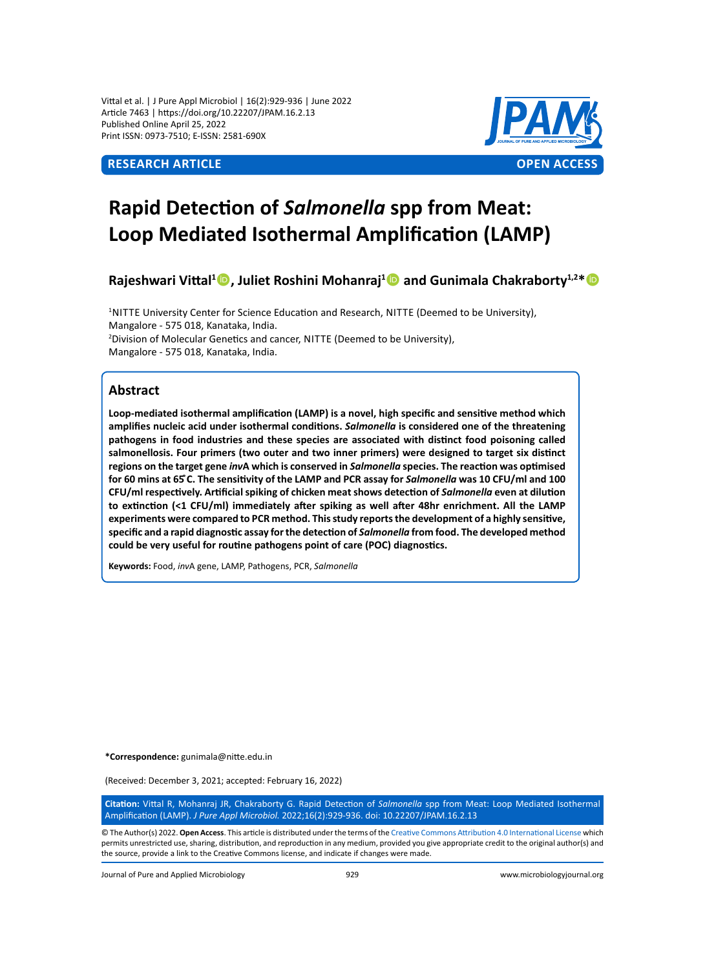Vittal et al. | J Pure Appl Microbiol | 16(2):929-936 | June 2022 Article 7463 | https://doi.org/10.22207/JPAM.16.2.13 Published Online April 25, 2022 Print ISSN: 0973-7510; E-ISSN: 2581-690X



# **Rapid Detection of** *Salmonella* **spp from Meat: Loop Mediated Isothermal Amplification (LAMP)**

**Rajeshwari Vittal<sup>1</sup> , Juliet Roshini Mohanraj<sup>1</sup> and Gunimala Chakraborty1,2\***

<sup>1</sup>NITTE University Center for Science Education and Research, NITTE (Deemed to be University), Mangalore - 575 018, Kanataka, India. <sup>2</sup> Division of Molecular Genetics and cancer, NITTE (Deemed to be University), Mangalore - 575 018, Kanataka, India.

# **Abstract**

**Loop-mediated isothermal amplification (LAMP) is a novel, high specific and sensitive method which amplifies nucleic acid under isothermal conditions.** *Salmonella* **is considered one of the threatening pathogens in food industries and these species are associated with distinct food poisoning called salmonellosis. Four primers (two outer and two inner primers) were designed to target six distinct regions on the target gene** *inv***A which is conserved in** *Salmonella* **species. The reaction was optimised for 60 mins at 65 ̊C. The sensitivity of the LAMP and PCR assay for** *Salmonella* **was 10 CFU/ml and 100 CFU/ml respectively. Artificial spiking of chicken meat shows detection of** *Salmonella* **even at dilution to extinction (<1 CFU/ml) immediately after spiking as well after 48hr enrichment. All the LAMP experiments were compared to PCR method. This study reports the development of a highly sensitive, specific and a rapid diagnostic assay for the detection of** *Salmonella* **from food. The developed method could be very useful for routine pathogens point of care (POC) diagnostics.**

**Keywords:** Food, *inv*A gene, LAMP, Pathogens, PCR, *Salmonella*

**\*Correspondence:** gunimala@nitte.edu.in

(Received: December 3, 2021; accepted: February 16, 2022)

**Citation:** Vittal R, Mohanraj JR, Chakraborty G. Rapid Detection of *Salmonella* spp from Meat: Loop Mediated Isothermal Amplification (LAMP). *J Pure Appl Microbiol.* 2022;16(2):929-936. doi: 10.22207/JPAM.16.2.13

© The Author(s) 2022. **Open Access**. This article is distributed under the terms of the [Creative Commons Attribution 4.0 International License](https://creativecommons.org/licenses/by/4.0/) which permits unrestricted use, sharing, distribution, and reproduction in any medium, provided you give appropriate credit to the original author(s) and the source, provide a link to the Creative Commons license, and indicate if changes were made.

Journal of Pure and Applied Microbiology 929 www.microbiologyjournal.org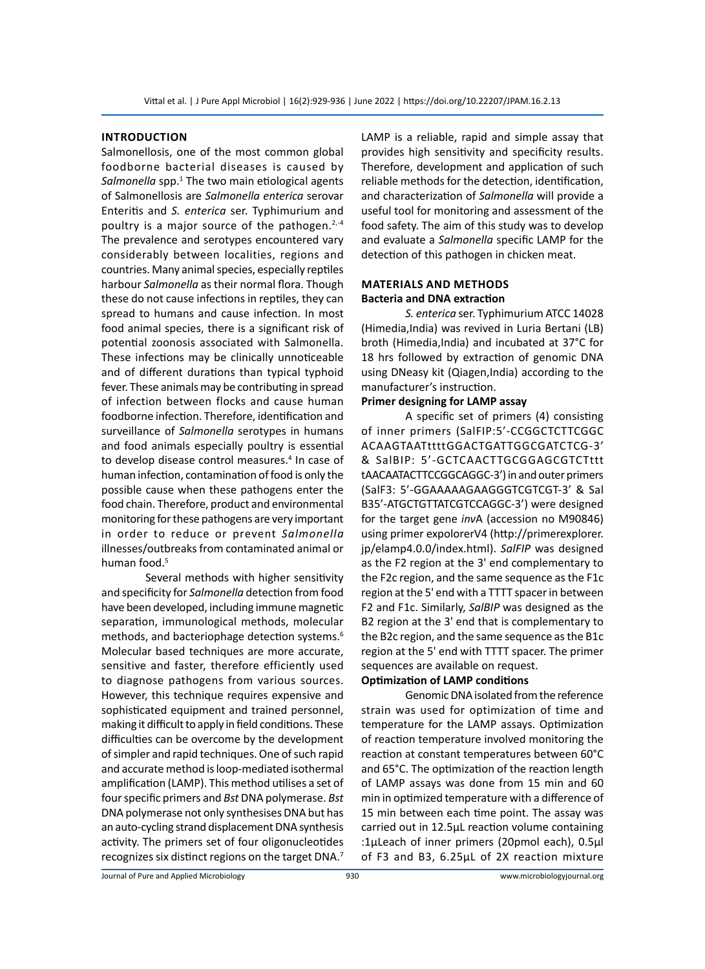# **Introduction**

Salmonellosis, one of the most common global foodborne bacterial diseases is caused by Salmonella spp.<sup>1</sup> The two main etiological agents of Salmonellosis are *Salmonella enterica* serovar Enteritis and *S. enterica* ser. Typhimurium and poultry is a major source of the pathogen. $2,4$ The prevalence and serotypes encountered vary considerably between localities, regions and countries. Many animal species, especially reptiles harbour *Salmonella* as their normal flora. Though these do not cause infections in reptiles, they can spread to humans and cause infection. In most food animal species, there is a significant risk of potential zoonosis associated with Salmonella. These infections may be clinically unnoticeable and of different durations than typical typhoid fever. These animals may be contributing in spread of infection between flocks and cause human foodborne infection. Therefore, identification and surveillance of *Salmonella* serotypes in humans and food animals especially poultry is essential to develop disease control measures.<sup>4</sup> In case of human infection, contamination of food is only the possible cause when these pathogens enter the food chain. Therefore, product and environmental monitoring for these pathogens are very important in order to reduce or prevent *Salmonella* illnesses/outbreaks from contaminated animal or human food.<sup>5</sup>

Several methods with higher sensitivity and specificity for *Salmonella* detection from food have been developed, including immune magnetic separation, immunological methods, molecular methods, and bacteriophage detection systems.<sup>6</sup> Molecular based techniques are more accurate, sensitive and faster, therefore efficiently used to diagnose pathogens from various sources. However, this technique requires expensive and sophisticated equipment and trained personnel, making it difficult to apply in field conditions. These difficulties can be overcome by the development of simpler and rapid techniques. One of such rapid and accurate method is loop-mediated isothermal amplification (LAMP). This method utilises a set of four specific primers and *Bst* DNA polymerase. *Bst* DNA polymerase not only synthesises DNA but has an auto-cycling strand displacement DNA synthesis activity. The primers set of four oligonucleotides recognizes six distinct regions on the target DNA.7 LAMP is a reliable, rapid and simple assay that provides high sensitivity and specificity results. Therefore, development and application of such reliable methods for the detection, identification, and characterization of *Salmonella* will provide a useful tool for monitoring and assessment of the food safety. The aim of this study was to develop and evaluate a *Salmonella* specific LAMP for the detection of this pathogen in chicken meat.

# **MaterialS and methods Bacteria and DNA extraction**

*S. enterica* ser. Typhimurium ATCC 14028 (Himedia,India) was revived in Luria Bertani (LB) broth (Himedia,India) and incubated at 37°C for 18 hrs followed by extraction of genomic DNA using DNeasy kit (Qiagen,India) according to the manufacturer's instruction.

# **Primer designing for LAMP assay**

A specific set of primers (4) consisting of inner primers (SalFIP:5'-CCGGCTCTTCGGC ACAAGTAATttttGGACTGATTGGCGATCTCG-3' & SalBIP: 5'-GCTCAACTTGCGGAGCGTCTttt tAACAATACTTCCGGCAGGC-3') in and outer primers (SalF3: 5'-GGAAAAAGAAGGGTCGTCGT-3' & Sal B35'-ATGCTGTTATCGTCCAGGC-3') were designed for the target gene *inv*A (accession no M90846) using primer expolorerV4 (http://primerexplorer. jp/elamp4.0.0/index.html). *SalFIP* was designed as the F2 region at the 3' end complementary to the F2c region, and the same sequence as the F1c region at the 5' end with a TTTT spacer in between F2 and F1c. Similarly, *SalBIP* was designed as the B2 region at the 3' end that is complementary to the B2c region, and the same sequence as the B1c region at the 5' end with TTTT spacer. The primer sequences are available on request.

# **Optimization of LAMP conditions**

Genomic DNA isolated from the reference strain was used for optimization of time and temperature for the LAMP assays. Optimization of reaction temperature involved monitoring the reaction at constant temperatures between 60°C and 65°C. The optimization of the reaction length of LAMP assays was done from 15 min and 60 min in optimized temperature with a difference of 15 min between each time point. The assay was carried out in 12.5µL reaction volume containing :1µLeach of inner primers (20pmol each), 0.5µl of F3 and B3, 6.25µL of 2X reaction mixture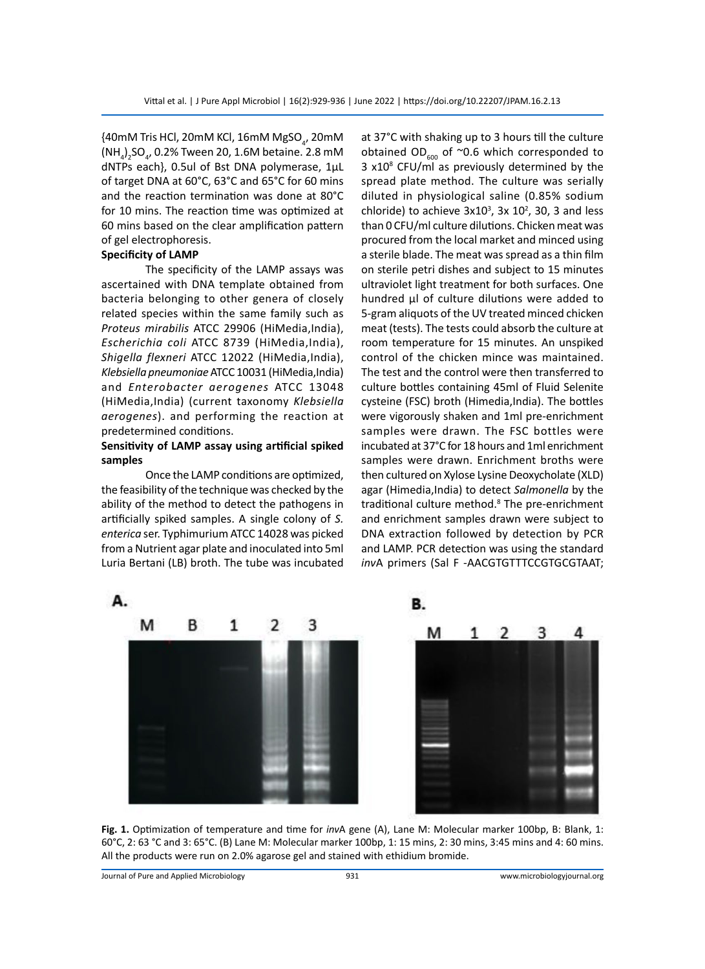$\{40\text{mM}$  Tris HCl, 20mM KCl, 16mM MgSO $_{_4}$ , 20mM  $(NH_4)_2$ SO<sub>4</sub>, 0.2% Tween 20, 1.6M betaine. 2.8 mM dNTPs each}, 0.5ul of Bst DNA polymerase, 1µL of target DNA at 60°C, 63°C and 65°C for 60 mins and the reaction termination was done at 80°C for 10 mins. The reaction time was optimized at 60 mins based on the clear amplification pattern of gel electrophoresis.

#### **Specificity of LAMP**

The specificity of the LAMP assays was ascertained with DNA template obtained from bacteria belonging to other genera of closely related species within the same family such as *Proteus mirabilis* ATCC 29906 (HiMedia,India), *Escherichia coli* ATCC 8739 (HiMedia,India), *Shigella flexneri* ATCC 12022 (HiMedia,India), *Klebsiella pneumoniae* ATCC 10031 (HiMedia,India) and *Enterobacter aerogenes* ATCC 13048 (HiMedia,India) (current taxonomy *Klebsiella aerogenes*). and performing the reaction at predetermined conditions.

# **Sensitivity of LAMP assay using artificial spiked samples**

Once the LAMP conditions are optimized, the feasibility of the technique was checked by the ability of the method to detect the pathogens in artificially spiked samples. A single colony of *S. enterica* ser. Typhimurium ATCC 14028 was picked from a Nutrient agar plate and inoculated into 5ml Luria Bertani (LB) broth. The tube was incubated at 37°C with shaking up to 3 hours till the culture obtained OD<sub>600</sub> of  $\sim$ 0.6 which corresponded to 3 x10<sup>8</sup> CFU/ml as previously determined by the spread plate method. The culture was serially diluted in physiological saline (0.85% sodium chloride) to achieve  $3x10^3$ ,  $3x 10^2$ ,  $30$ ,  $3$  and less than 0 CFU/ml culture dilutions. Chicken meat was procured from the local market and minced using a sterile blade. The meat was spread as a thin film on sterile petri dishes and subject to 15 minutes ultraviolet light treatment for both surfaces. One hundred µl of culture dilutions were added to 5-gram aliquots of the UV treated minced chicken meat (tests). The tests could absorb the culture at room temperature for 15 minutes. An unspiked control of the chicken mince was maintained. The test and the control were then transferred to culture bottles containing 45ml of Fluid Selenite cysteine (FSC) broth (Himedia,India). The bottles were vigorously shaken and 1ml pre-enrichment samples were drawn. The FSC bottles were incubated at 37°C for 18 hours and 1ml enrichment samples were drawn. Enrichment broths were then cultured on Xylose Lysine Deoxycholate (XLD) agar (Himedia,India) to detect *Salmonella* by the traditional culture method.<sup>8</sup> The pre-enrichment and enrichment samples drawn were subject to DNA extraction followed by detection by PCR and LAMP. PCR detection was using the standard *inv*A primers (Sal F -AACGTGTTTCCGTGCGTAAT;



**Fig. 1.** Optimization of temperature and time for *inv*A gene (A), Lane M: Molecular marker 100bp, B: Blank, 1: 60°C, 2: 63 °C and 3: 65°C. (B) Lane M: Molecular marker 100bp, 1: 15 mins, 2: 30 mins, 3:45 mins and 4: 60 mins. All the products were run on 2.0% agarose gel and stained with ethidium bromide.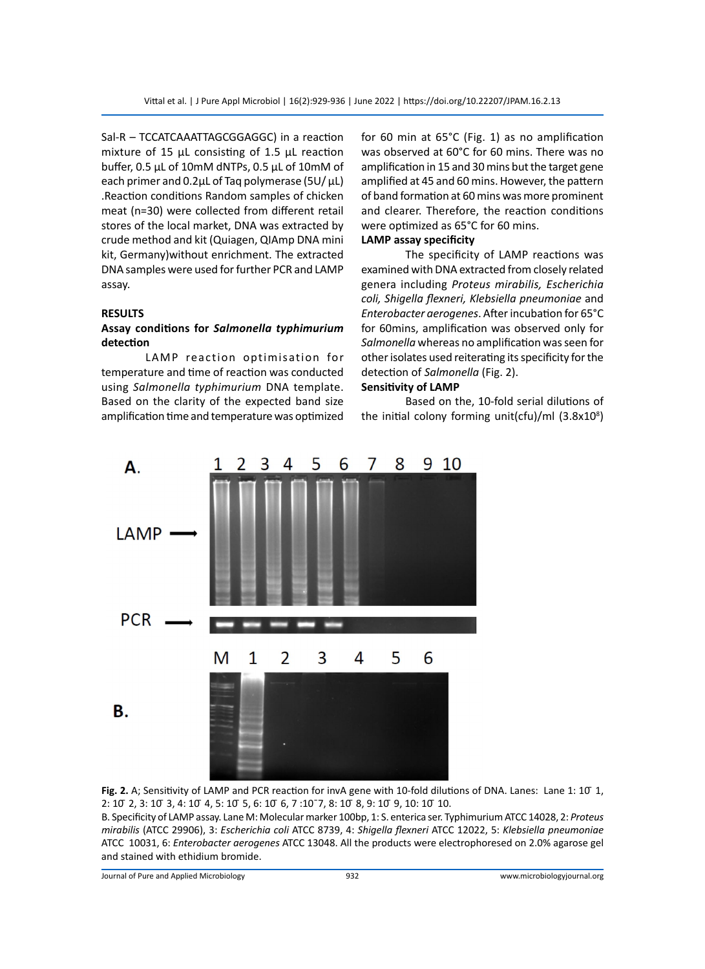Sal-R – TCCATCAAATTAGCGGAGGC) in a reaction mixture of 15 µL consisting of 1.5 µL reaction buffer, 0.5 µL of 10mM dNTPs, 0.5 µL of 10mM of each primer and 0.2µL of Taq polymerase (5U/ µL) .Reaction conditions Random samples of chicken meat (n=30) were collected from different retail stores of the local market, DNA was extracted by crude method and kit (Quiagen, QIAmp DNA mini kit, Germany)without enrichment. The extracted DNA samples were used for further PCR and LAMP assay.

## **RESULTS**

# **Assay conditions for** *Salmonella typhimurium*  **detection**

LAMP reaction optimisation for temperature and time of reaction was conducted using *Salmonella typhimurium* DNA template. Based on the clarity of the expected band size amplification time and temperature was optimized

for 60 min at 65°C (Fig. 1) as no amplification was observed at 60°C for 60 mins. There was no amplification in 15 and 30 mins but the target gene amplified at 45 and 60 mins. However, the pattern of band formation at 60 mins was more prominent and clearer. Therefore, the reaction conditions were optimized as 65°C for 60 mins.

# **LAMP assay specificity**

The specificity of LAMP reactions was examined with DNA extracted from closely related genera including *Proteus mirabilis, Escherichia coli, Shigella flexneri, Klebsiella pneumoniae* and *Enterobacter aerogenes*. After incubation for 65°C for 60mins, amplification was observed only for *Salmonella* whereas no amplification was seen for other isolates used reiterating its specificity for the detection of *Salmonella* (Fig. 2).

## **Sensitivity of LAMP**

Based on the, 10-fold serial dilutions of the initial colony forming unit(cfu)/ml (3.8x10<sup>8</sup>)



**Fig. 2.** A; Sensitivity of LAMP and PCR reaction for invA gene with 10-fold dilutions of DNA. Lanes: Lane 1: 10 1, 2: 10 ̄ 2, 3: 10 ̄ 3, 4: 10 ̄ 4, 5: 10 ̄ 5, 6: 10 ̄ 6, 7 :10¯7, 8: 10 ̄ 8, 9: 10 ̄ 9, 10: 10 ̄ 10.

B. Specificity of LAMP assay. Lane M: Molecular marker 100bp, 1: S. enterica ser. Typhimurium ATCC 14028, 2: *Proteus mirabilis* (ATCC 29906), 3: *Escherichia coli* ATCC 8739, 4: *Shigella flexneri* ATCC 12022, 5: *Klebsiella pneumoniae* ATCC 10031, 6: *Enterobacter aerogenes* ATCC 13048. All the products were electrophoresed on 2.0% agarose gel and stained with ethidium bromide.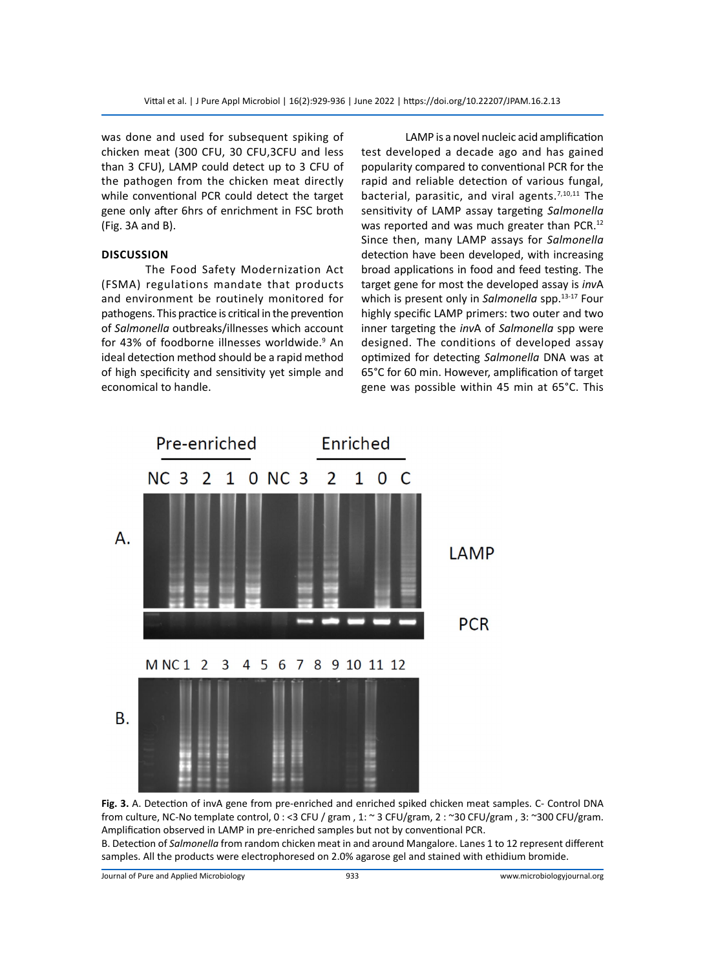was done and used for subsequent spiking of chicken meat (300 CFU, 30 CFU,3CFU and less than 3 CFU), LAMP could detect up to 3 CFU of the pathogen from the chicken meat directly while conventional PCR could detect the target gene only after 6hrs of enrichment in FSC broth (Fig. 3A and B).

### **Discussion**

The Food Safety Modernization Act (FSMA) regulations mandate that products and environment be routinely monitored for pathogens. This practice is critical in the prevention of *Salmonella* outbreaks/illnesses which account for 43% of foodborne illnesses worldwide.<sup>9</sup> An ideal detection method should be a rapid method of high specificity and sensitivity yet simple and economical to handle.

LAMP is a novel nucleic acid amplification test developed a decade ago and has gained popularity compared to conventional PCR for the rapid and reliable detection of various fungal, bacterial, parasitic, and viral agents.<sup>7,10,11</sup> The sensitivity of LAMP assay targeting *Salmonella* was reported and was much greater than PCR.<sup>12</sup> Since then, many LAMP assays for *Salmonella* detection have been developed, with increasing broad applications in food and feed testing. The target gene for most the developed assay is *inv*A which is present only in *Salmonella* spp.<sup>13-17</sup> Four highly specific LAMP primers: two outer and two inner targeting the *inv*A of *Salmonella* spp were designed. The conditions of developed assay optimized for detecting *Salmonella* DNA was at 65°C for 60 min. However, amplification of target gene was possible within 45 min at 65°C. This



**Fig. 3.** A. Detection of invA gene from pre-enriched and enriched spiked chicken meat samples. C- Control DNA from culture, NC-No template control, 0 : <3 CFU / gram , 1: ~ 3 CFU/gram, 2 : ~30 CFU/gram , 3: ~300 CFU/gram. Amplification observed in LAMP in pre-enriched samples but not by conventional PCR.

B. Detection of *Salmonella* from random chicken meat in and around Mangalore. Lanes 1 to 12 represent different samples. All the products were electrophoresed on 2.0% agarose gel and stained with ethidium bromide.

Journal of Pure and Applied Microbiology 933 www.microbiologyjournal.org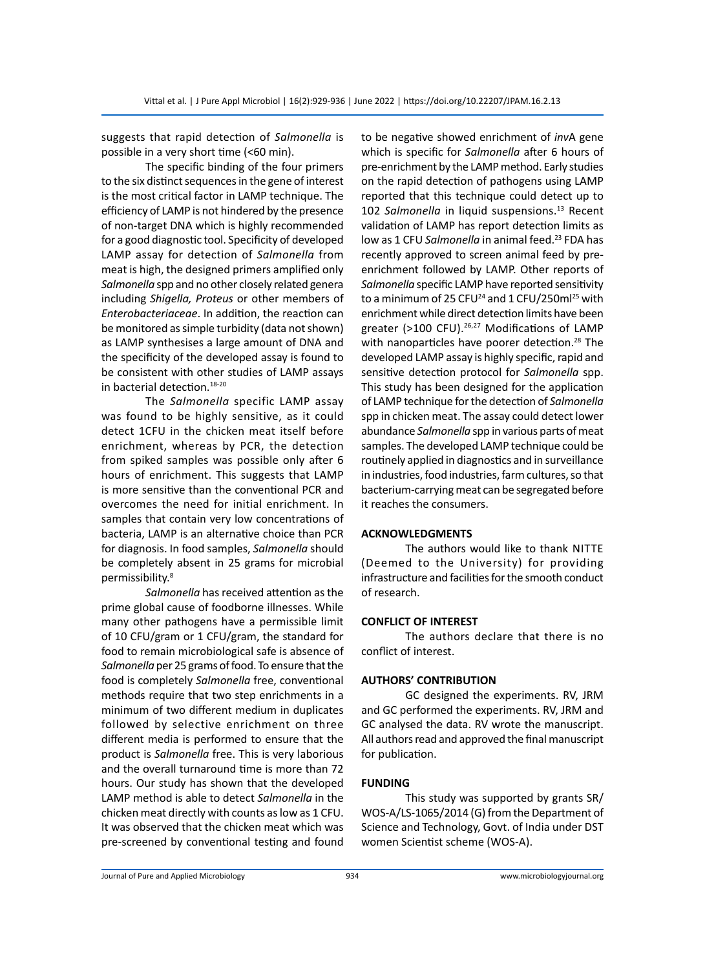suggests that rapid detection of *Salmonella* is possible in a very short time (<60 min).

The specific binding of the four primers to the six distinct sequences in the gene of interest is the most critical factor in LAMP technique. The efficiency of LAMP is not hindered by the presence of non-target DNA which is highly recommended for a good diagnostic tool. Specificity of developed LAMP assay for detection of *Salmonella* from meat is high, the designed primers amplified only *Salmonella* spp and no other closely related genera including *Shigella, Proteus* or other members of *Enterobacteriaceae*. In addition, the reaction can be monitored as simple turbidity (data not shown) as LAMP synthesises a large amount of DNA and the specificity of the developed assay is found to be consistent with other studies of LAMP assays in bacterial detection.18-20

The *Salmonella* specific LAMP assay was found to be highly sensitive, as it could detect 1CFU in the chicken meat itself before enrichment, whereas by PCR, the detection from spiked samples was possible only after 6 hours of enrichment. This suggests that LAMP is more sensitive than the conventional PCR and overcomes the need for initial enrichment. In samples that contain very low concentrations of bacteria, LAMP is an alternative choice than PCR for diagnosis. In food samples, *Salmonella* should be completely absent in 25 grams for microbial permissibility.8

*Salmonella* has received attention as the prime global cause of foodborne illnesses. While many other pathogens have a permissible limit of 10 CFU/gram or 1 CFU/gram, the standard for food to remain microbiological safe is absence of *Salmonella* per 25 grams of food. To ensure that the food is completely *Salmonella* free, conventional methods require that two step enrichments in a minimum of two different medium in duplicates followed by selective enrichment on three different media is performed to ensure that the product is *Salmonella* free. This is very laborious and the overall turnaround time is more than 72 hours. Our study has shown that the developed LAMP method is able to detect *Salmonella* in the chicken meat directly with counts as low as 1 CFU. It was observed that the chicken meat which was pre-screened by conventional testing and found to be negative showed enrichment of *inv*A gene which is specific for *Salmonella* after 6 hours of pre-enrichment by the LAMP method. Early studies on the rapid detection of pathogens using LAMP reported that this technique could detect up to 102 Salmonella in liquid suspensions.<sup>13</sup> Recent validation of LAMP has report detection limits as low as 1 CFU *Salmonella* in animal feed.<sup>23</sup> FDA has recently approved to screen animal feed by preenrichment followed by LAMP. Other reports of *Salmonella* specific LAMP have reported sensitivity to a minimum of 25 CFU<sup>24</sup> and 1 CFU/250ml<sup>25</sup> with enrichment while direct detection limits have been greater (>100 CFU).<sup>26,27</sup> Modifications of LAMP with nanoparticles have poorer detection.<sup>28</sup> The developed LAMP assay is highly specific, rapid and sensitive detection protocol for *Salmonella* spp. This study has been designed for the application of LAMP technique for the detection of *Salmonella* spp in chicken meat. The assay could detect lower abundance *Salmonella* spp in various parts of meat samples. The developed LAMP technique could be routinely applied in diagnostics and in surveillance in industries, food industries, farm cultures, so that bacterium-carrying meat can be segregated before it reaches the consumers.

# **ACKNOWLEDGMENTS**

The authors would like to thank NITTE (Deemed to the University) for providing infrastructure and facilities for the smooth conduct of research.

#### **CONFLICT OF INTEREST**

The authors declare that there is no conflict of interest.

#### **AUTHORS' CONTRIBUTION**

GC designed the experiments. RV, JRM and GC performed the experiments. RV, JRM and GC analysed the data. RV wrote the manuscript. All authors read and approved the final manuscript for publication.

#### **FUNDING**

This study was supported by grants SR/ WOS-A/LS-1065/2014 (G) from the Department of Science and Technology, Govt. of India under DST women Scientist scheme (WOS-A).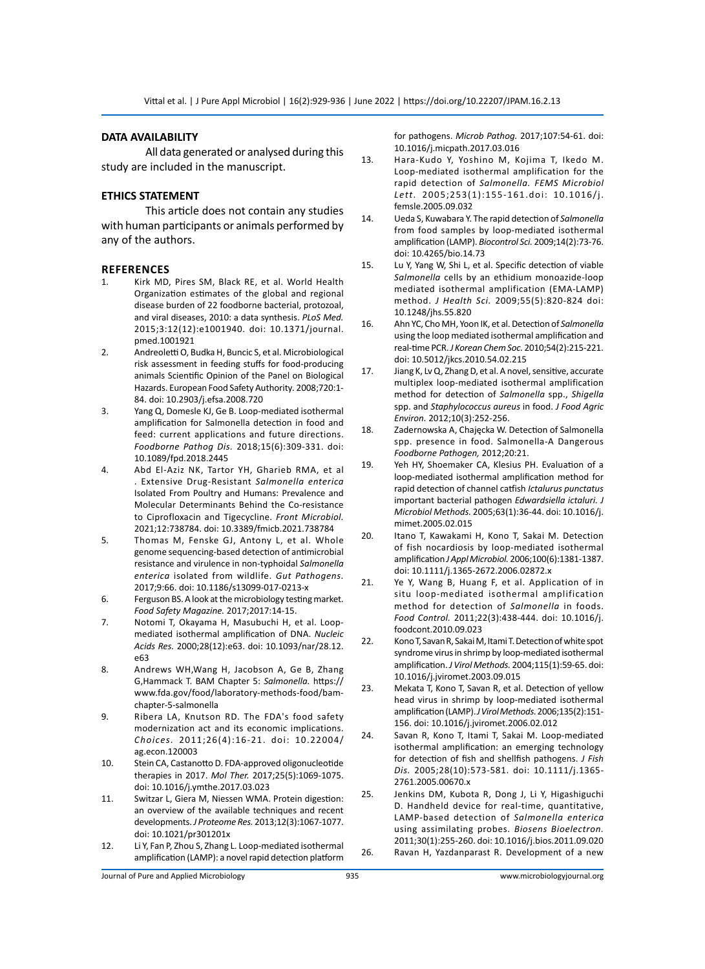#### **DATA AVAILABILITY**

All data generated or analysed during this study are included in the manuscript.

#### **ETHICS STATEMENT**

This article does not contain any studies with human participants or animals performed by any of the authors.

#### **References**

- 1. Kirk MD, Pires SM, Black RE, et al. World Health Organization estimates of the global and regional disease burden of 22 foodborne bacterial, protozoal, and viral diseases, 2010: a data synthesis. *PLoS Med.*  2015;3:12(12):e1001940. doi: 10.1371/journal. pmed.1001921
- 2. Andreoletti O, Budka H, Buncic S, et al. Microbiological risk assessment in feeding stuffs for food-producing animals Scientific Opinion of the Panel on Biological Hazards. European Food Safety Authority*.* 2008;720:1- 84. doi: 10.2903/j.efsa.2008.720
- 3. Yang Q, Domesle KJ, Ge B. Loop-mediated isothermal amplification for Salmonella detection in food and feed: current applications and future directions. *Foodborne Pathog Dis.* 2018;15(6):309-331. doi: 10.1089/fpd.2018.2445
- 4. Abd El-Aziz NK, Tartor YH, Gharieb RMA, et al . Extensive Drug-Resistant *Salmonella enterica* Isolated From Poultry and Humans: Prevalence and Molecular Determinants Behind the Co-resistance to Ciprofloxacin and Tigecycline. *Front Microbiol.*  2021;12:738784. doi: 10.3389/fmicb.2021.738784
- 5. Thomas M, Fenske GJ, Antony L, et al. Whole genome sequencing-based detection of antimicrobial resistance and virulence in non-typhoidal *Salmonella enterica* isolated from wildlife. *Gut Pathogens.* 2017;9:66. doi: 10.1186/s13099-017-0213-x
- 6. Ferguson BS. A look at the microbiology testing market. *Food Safety Magazine.* 2017;2017:14-15.
- 7. Notomi T, Okayama H, Masubuchi H, et al. Loopmediated isothermal amplification of DNA. *Nucleic Acids Res.* 2000;28(12):e63. doi: 10.1093/nar/28.12. e63
- 8. Andrews WH,Wang H, Jacobson A, Ge B, Zhang G,Hammack T. BAM Chapter 5: *Salmonella.* https:// www.fda.gov/food/laboratory-methods-food/bamchapter-5-salmonella
- 9. Ribera LA, Knutson RD. The FDA's food safety modernization act and its economic implications. *Choices.* 2011;26(4):16-21. doi: 10.22004/ ag.econ.120003
- 10. Stein CA, Castanotto D. FDA-approved oligonucleotide therapies in 2017. *Mol Ther.* 2017;25(5):1069-1075. doi: 10.1016/j.ymthe.2017.03.023
- 11. Switzar L, Giera M, Niessen WMA. Protein digestion: an overview of the available techniques and recent developments. *J Proteome Res.* 2013;12(3):1067-1077. doi: 10.1021/pr301201x
- 12. Li Y, Fan P, Zhou S, Zhang L. Loop-mediated isothermal amplification (LAMP): a novel rapid detection platform

for pathogens. *Microb Pathog.* 2017;107:54-61. doi: 10.1016/j.micpath.2017.03.016

- 13. Hara-Kudo Y, Yoshino M, Kojima T, Ikedo M. Loop-mediated isothermal amplification for the rapid detection of *Salmonella. FEMS Microbiol Lett.* 2005;253(1):155-161.doi: 10.1016/j. femsle.2005.09.032
- 14. Ueda S, Kuwabara Y. The rapid detection of *Salmonella*  from food samples by loop-mediated isothermal amplification (LAMP). *Biocontrol Sci.* 2009;14(2):73-76. doi: 10.4265/bio.14.73
- 15. Lu Y, Yang W, Shi L, et al. Specific detection of viable *Salmonella* cells by an ethidium monoazide-loop mediated isothermal amplification (EMA-LAMP) method. *J Health Sci.* 2009;55(5):820-824 doi: 10.1248/jhs.55.820
- 16. Ahn YC, Cho MH, Yoon IK, et al. Detection of *Salmonella*  using the loop mediated isothermal amplification and real-time PCR. *J Korean Chem Soc.* 2010;54(2):215-221. doi: 10.5012/jkcs.2010.54.02.215
- 17. Jiang K, Lv Q, Zhang D, et al. A novel, sensitive, accurate multiplex loop-mediated isothermal amplification method for detection of *Salmonella* spp., *Shigella*  spp. and *Staphylococcus aureus* in food. *J Food Agric Environ.* 2012;10(3):252-256.
- 18. Zadernowska A, Chajęcka W. Detection of Salmonella spp. presence in food. Salmonella-A Dangerous *Foodborne Pathogen,* 2012;20:21.
- 19. Yeh HY, Shoemaker CA, Klesius PH. Evaluation of a loop-mediated isothermal amplification method for rapid detection of channel catfish *Ictalurus punctatus*  important bacterial pathogen *Edwardsiella ictaluri. J Microbiol Methods.* 2005;63(1):36-44. doi: 10.1016/j. mimet.2005.02.015
- 20. Itano T, Kawakami H, Kono T, Sakai M. Detection of fish nocardiosis by loop‐mediated isothermal amplification *J Appl Microbiol.* 2006;100(6):1381-1387. doi: 10.1111/j.1365-2672.2006.02872.x
- 21. Ye Y, Wang B, Huang F, et al. Application of in situ loop-mediated isothermal amplification method for detection of *Salmonella* in foods. *Food Control.* 2011;22(3):438-444. doi: 10.1016/j. foodcont.2010.09.023
- 22. Kono T, Savan R, Sakai M, Itami T. Detection of white spot syndrome virus in shrimp by loop-mediated isothermal amplification. *J Virol Methods.* 2004;115(1):59-65. doi: 10.1016/j.jviromet.2003.09.015
- 23. Mekata T, Kono T, Savan R, et al. Detection of yellow head virus in shrimp by loop-mediated isothermal amplification (LAMP). *J Virol Methods.* 2006;135(2):151- 156. doi: 10.1016/j.jviromet.2006.02.012
- 24. Savan R, Kono T, Itami T, Sakai M. Loop‐mediated isothermal amplification: an emerging technology for detection of fish and shellfish pathogens. *J Fish Dis.* 2005;28(10):573-581. doi: 10.1111/j.1365- 2761.2005.00670.x
- 25. Jenkins DM, Kubota R, Dong J, Li Y, Higashiguchi D. Handheld device for real-time, quantitative, LAMP-based detection of *Salmonella enterica* using assimilating probes. *Biosens Bioelectron.* 2011;30(1):255-260. doi: 10.1016/j.bios.2011.09.020 26. Ravan H, Yazdanparast R. Development of a new